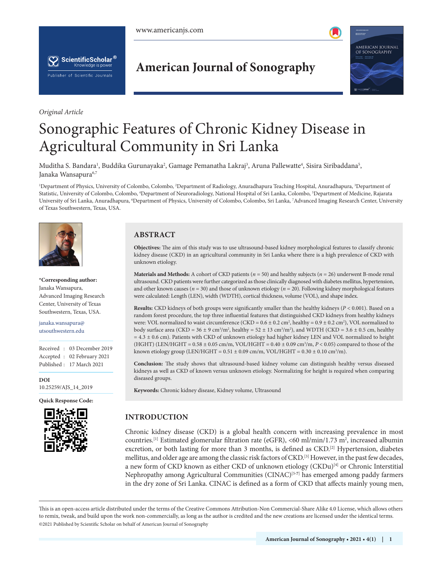



*Original Article*

**American Journal of Sonography**



# Sonographic Features of Chronic Kidney Disease in Agricultural Community in Sri Lanka

Muditha S. Bandara<sup>1</sup>, Buddika Gurunayaka<sup>2</sup>, Gamage Pemanatha Lakraj<sup>3</sup>, Aruna Pallewatte<sup>4</sup>, Sisira Siribaddana<sup>5</sup>, Janaka Wansapura<sup>6,7</sup>

<sup>1</sup>Department of Physics, University of Colombo, Colombo, <sup>2</sup>Department of Radiology, Anuradhapura Teaching Hospital, Anuradhapura, <sup>3</sup>Department of Statistic, University of Colombo, Colombo, <sup>4</sup>Department of Neuroradiology, National Hospital of Sri Lanka, Colombo, <sup>5</sup>Department of Medicine, Rajarata University of Sri Lanka, Anuradhapura, <sup>6</sup>Department of Physics, University of Colombo, Colombo, Sri Lanka, <sup>7</sup>Advanced Imaging Research Center, University of Texas Southwestern, Texas, USA.



**\*Corresponding author:** Janaka Wansapura, Advanced Imaging Research Center, University of Texas Southwestern, Texas, USA.

janaka.wansapura@ utsouthwestern.edu

Received : 03 December 2019 Accepted : 02 February 2021 Published : 17 March 2021

**DOI** [10.25259/AJS\\_14\\_2019](https://dx.doi.org/10.25259/AJS_14_2020)

**Quick Response Code:**



# **ABSTRACT**

**Objectives:** The aim of this study was to use ultrasound-based kidney morphological features to classify chronic kidney disease (CKD) in an agricultural community in Sri Lanka where there is a high prevalence of CKD with unknown etiology.

**Materials and Methods:** A cohort of CKD patients (*n* = 50) and healthy subjects (*n* = 26) underwent B-mode renal ultrasound. CKD patients were further categorized as those clinically diagnosed with diabetes mellitus, hypertension, and other known causes (*n* = 30) and those of unknown etiology (*n* = 20). Following kidney morphological features were calculated: Length (LEN), width (WDTH), cortical thickness, volume (VOL), and shape index.

**Results:** CKD kidneys of both groups were significantly smaller than the healthy kidneys (*P* < 0.001). Based on a random forest procedure, the top three influential features that distinguished CKD kidneys from healthy kidneys were: VOL normalized to waist circumference (CKD =  $0.6 \pm 0.2$  cm<sup>2</sup>, healthy =  $0.9 \pm 0.2$  cm<sup>2</sup>), VOL normalized to body surface area (CKD =  $36 \pm 9$  cm<sup>3</sup>/m<sup>2</sup>, healthy =  $52 \pm 13$  cm<sup>3</sup>/m<sup>2</sup>), and WDTH (CKD =  $3.6 \pm 0.5$  cm, healthy  $= 4.3 \pm 0.6$  cm). Patients with CKD of unknown etiology had higher kidney LEN and VOL normalized to height (HGHT) (LEN/HGHT = 0.58 ± 0.05 cm/m, VOL/HGHT = 0.40 ± 0.09 cm3 /m, *P* < 0.05) compared to those of the known etiology group (LEN/HGHT =  $0.51 \pm 0.09$  cm/m, VOL/HGHT =  $0.30 \pm 0.10$  cm<sup>3</sup>/m).

**Conclusion:** The study shows that ultrasound-based kidney volume can distinguish healthy versus diseased kidneys as well as CKD of known versus unknown etiology. Normalizing for height is required when comparing diseased groups.

**Keywords:** Chronic kidney disease, Kidney volume, Ultrasound

# **INTRODUCTION**

Chronic kidney disease (CKD) is a global health concern with increasing prevalence in most countries.[1] Estimated glomerular filtration rate (eGFR), <60 ml/min/1.73 m2 , increased albumin excretion, or both lasting for more than 3 months, is defined as CKD.<sup>[2]</sup> Hypertension, diabetes mellitus, and older age are among the classic risk factors of CKD.[3] However, in the past few decades, a new form of CKD known as either CKD of unknown etiology (CKDu)<sup>[4]</sup> or Chronic Interstitial Nephropathy among Agricultural Communities (CINAC)<sup>[5-7]</sup> has emerged among paddy farmers in the dry zone of Sri Lanka. CINAC is defined as a form of CKD that affects mainly young men,

is is an open-access article distributed under the terms of the Creative Commons Attribution-Non Commercial-Share Alike 4.0 License, which allows others to remix, tweak, and build upon the work non-commercially, as long as the author is credited and the new creations are licensed under the identical terms. ©2021 Published by Scientific Scholar on behalf of American Journal of Sonography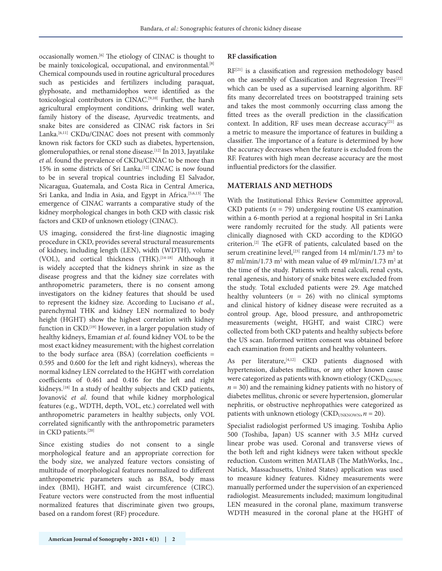occasionally women.[6] The etiology of CINAC is thought to be mainly toxicological, occupational, and environmental.<sup>[8]</sup> Chemical compounds used in routine agricultural procedures such as pesticides and fertilizers including paraquat, glyphosate, and methamidophos were identified as the toxicological contributors in CINAC.[9,10] Further, the harsh agricultural employment conditions, drinking well water, family history of the disease, Ayurvedic treatments, and snake bites are considered as CINAC risk factors in Sri Lanka.<sup>[6,11]</sup> CKDu/CINAC does not present with commonly known risk factors for CKD such as diabetes, hypertension, glomerulopathies, or renal stone disease.[12] In 2013, Jayatilake *et al*. found the prevalence of CKDu/CINAC to be more than 15% in some districts of Sri Lanka.[12] CINAC is now found to be in several tropical countries including El Salvador, Nicaragua, Guatemala, and Costa Rica in Central America, Sri Lanka, and India in Asia, and Egypt in Africa.<sup>[5,6,13]</sup> The emergence of CINAC warrants a comparative study of the kidney morphological changes in both CKD with classic risk factors and CKD of unknown etiology (CINAC).

US imaging, considered the first-line diagnostic imaging procedure in CKD, provides several structural measurements of kidney, including length (LEN), width (WDTH), volume (VOL), and cortical thickness (THK).<sup>[14-18]</sup> Although it is widely accepted that the kidneys shrink in size as the disease progress and that the kidney size correlates with anthropometric parameters, there is no consent among investigators on the kidney features that should be used to represent the kidney size. According to Lucisano *et al*., parenchymal THK and kidney LEN normalized to body height (HGHT) show the highest correlation with kidney function in CKD.[19] However, in a larger population study of healthy kidneys, Emamian *et al*. found kidney VOL to be the most exact kidney measurement; with the highest correlation to the body surface area (BSA) (correlation coefficients = 0.595 and 0.600 for the left and right kidneys), whereas the normal kidney LEN correlated to the HGHT with correlation coefficients of 0.461 and 0.416 for the left and right kidneys.<sup>[18]</sup> In a study of healthy subjects and CKD patients, Jovanović *et al*. found that while kidney morphological features (e.g., WDTH, depth, VOL, etc.) correlated well with anthropometric parameters in healthy subjects, only VOL correlated significantly with the anthropometric parameters in CKD patients.[20]

Since existing studies do not consent to a single morphological feature and an appropriate correction for the body size, we analyzed feature vectors consisting of multitude of morphological features normalized to different anthropometric parameters such as BSA, body mass index (BMI), HGHT, and waist circumference (CIRC). Feature vectors were constructed from the most influential normalized features that discriminate given two groups, based on a random forest (RF) procedure.

#### **RF classification**

RF<sup>[21]</sup> is a classification and regression methodology based on the assembly of Classification and Regression Trees<sup>[22]</sup> which can be used as a supervised learning algorithm. RF fits many decorrelated trees on bootstrapped training sets and takes the most commonly occurring class among the fitted trees as the overall prediction in the classification context. In addition, RF uses mean decrease accuracy<sup>[21]</sup> as a metric to measure the importance of features in building a classifier. The importance of a feature is determined by how the accuracy decreases when the feature is excluded from the RF. Features with high mean decrease accuracy are the most influential predictors for the classifier.

## **MATERIALS AND METHODS**

With the Institutional Ethics Review Committee approval, CKD patients  $(n = 79)$  undergoing routine US examination within a 6-month period at a regional hospital in Sri Lanka were randomly recruited for the study. All patients were clinically diagnosed with CKD according to the KDIGO criterion.[2] The eGFR of patients, calculated based on the serum creatinine level,<sup>[23]</sup> ranged from  $14 \text{ ml/min}/1.73 \text{ m}^2$  to 87 ml/min/1.73 m<sup>2</sup> with mean value of 49 ml/min/1.73 m<sup>2</sup> at the time of the study. Patients with renal calculi, renal cysts, renal agenesis, and history of snake bites were excluded from the study. Total excluded patients were 29. Age matched healthy volunteers  $(n = 26)$  with no clinical symptoms and clinical history of kidney disease were recruited as a control group. Age, blood pressure, and anthropometric measurements (weight, HGHT, and waist CIRC) were collected from both CKD patents and healthy subjects before the US scan. Informed written consent was obtained before each examination from patients and healthy volunteers.

As per literature, [4,12] CKD patients diagnosed with hypertension, diabetes mellitus, or any other known cause were categorized as patients with known etiology ( $\text{CKD}_{\text{KNOWN},}$ )  $n = 30$ ) and the remaining kidney patients with no history of diabetes mellitus, chronic or severe hypertension, glomerular nephritis, or obstructive nephropathies were categorized as patients with unknown etiology (CKD<sub>UNKNOWN</sub>,  $n = 20$ ).

Specialist radiologist performed US imaging. Toshiba Aplio 500 (Toshiba, Japan) US scanner with 3.5 MHz curved linear probe was used. Coronal and transverse views of the both left and right kidneys were taken without speckle reduction. Custom written MATLAB (The MathWorks, Inc., Natick, Massachusetts, United States) application was used to measure kidney features. Kidney measurements were manually performed under the supervision of an experienced radiologist. Measurements included; maximum longitudinal LEN measured in the coronal plane, maximum transverse WDTH measured in the coronal plane at the HGHT of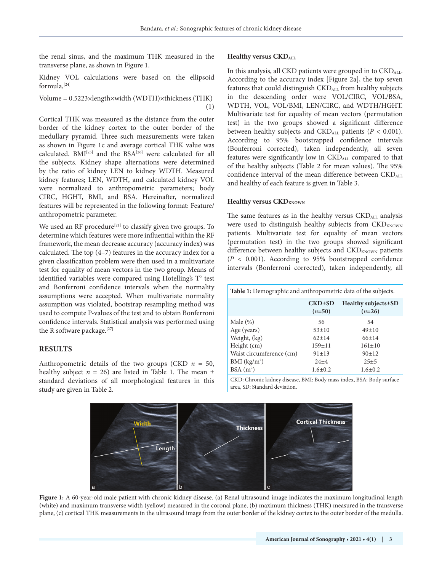the renal sinus, and the maximum THK measured in the transverse plane, as shown in Figure 1.

Kidney VOL calculations were based on the ellipsoid formula,[24]

Volume = 0.5223×length×width (WDTH)×thickness (THK) (1)

Cortical THK was measured as the distance from the outer border of the kidney cortex to the outer border of the medullary pyramid. Three such measurements were taken as shown in Figure 1c and average cortical THK value was calculated. BMI<sup>[25]</sup> and the BSA<sup>[26]</sup> were calculated for all the subjects. Kidney shape alternations were determined by the ratio of kidney LEN to kidney WDTH. Measured kidney features; LEN, WDTH, and calculated kidney VOL were normalized to anthropometric parameters; body CIRC, HGHT, BMI, and BSA. Hereinafter, normalized features will be represented in the following format: Feature/ anthropometric parameter.

We used an RF procedure<sup>[21]</sup> to classify given two groups. To determine which features were more influential within the RF framework, the mean decrease accuracy (accuracy index) was calculated. The top (4–7) features in the accuracy index for a given classification problem were then used in a multivariate test for equality of mean vectors in the two group. Means of identified variables were compared using Hotelling's  $T^2$  test and Bonferroni confidence intervals when the normality assumptions were accepted. When multivariate normality assumption was violated, bootstrap resampling method was used to compute P-values of the test and to obtain Bonferroni confidence intervals. Statistical analysis was performed using the R software package.<sup>[27]</sup>

### **RESULTS**

Anthropometric details of the two groups (CKD *n* = 50, healthy subject  $n = 26$ ) are listed in Table 1. The mean  $\pm$ standard deviations of all morphological features in this study are given in Table 2.

#### **Healthy versus CKD<sub>ALL</sub>**

In this analysis, all CKD patients were grouped in to CKD<sub>ALL</sub>. According to the accuracy index [Figure 2a], the top seven features that could distinguish CKDALL from healthy subjects in the descending order were VOL/CIRC, VOL/BSA, WDTH, VOL, VOL/BMI, LEN/CIRC, and WDTH/HGHT. Multivariate test for equality of mean vectors (permutation test) in the two groups showed a significant difference between healthy subjects and  $\text{CKD}_{ALL}$  patients ( $P < 0.001$ ). According to 95% bootstrapped confidence intervals (Bonferroni corrected), taken independently, all seven features were significantly low in CKDALL compared to that of the healthy subjects (Table 2 for mean values). The 95% confidence interval of the mean difference between CKDALL and healthy of each feature is given in Table 3.

#### **Healthy versus CKD**<sub>KNOWN</sub>

The same features as in the healthy versus CKDALL analysis were used to distinguish healthy subjects from  $CKD_{KNOWN}$ patients. Multivariate test for equality of mean vectors (permutation test) in the two groups showed significant difference between healthy subjects and  $\text{CKD}_{\text{KNOWN}}$  patients (*P* < 0.001). According to 95% bootstrapped confidence intervals (Bonferroni corrected), taken independently, all

| <b>Table 1:</b> Demographic and anthropometric data of the subjects.    |                          |                                   |  |  |
|-------------------------------------------------------------------------|--------------------------|-----------------------------------|--|--|
|                                                                         | $CKD \pm SD$<br>$(n=50)$ | Healthy subjects ± SD<br>$(n=26)$ |  |  |
| Male $(\%)$                                                             | 56                       | 54                                |  |  |
| Age (years)                                                             | $53+10$                  | $49+10$                           |  |  |
| Weight, (kg)                                                            | $62+14$                  | $66+14$                           |  |  |
| Height (cm)                                                             | $159 \pm 11$             | $161 \pm 10$                      |  |  |
| Waist circumference (cm)                                                | $91 \pm 13$              | 90±12                             |  |  |
| BMI (kg/m <sup>2</sup> )                                                | $24+4$                   | $25 + 5$                          |  |  |
| BSA(m <sup>2</sup> )                                                    | $1.6 \pm 0.2$            | $1.6 \pm 0.2$                     |  |  |
| $\mathbf{L}$<br>$\sim$ $\sim$ $\sim$ $\sim$ $\sim$ $\sim$ $\sim$ $\sim$ |                          |                                   |  |  |





**Figure 1:** A 60-year-old male patient with chronic kidney disease. (a) Renal ultrasound image indicates the maximum longitudinal length (white) and maximum transverse width (yellow) measured in the coronal plane, (b) maximum thickness (THK) measured in the transverse plane, (c) cortical THK measurements in the ultrasound image from the outer border of the kidney cortex to the outer border of the medulla.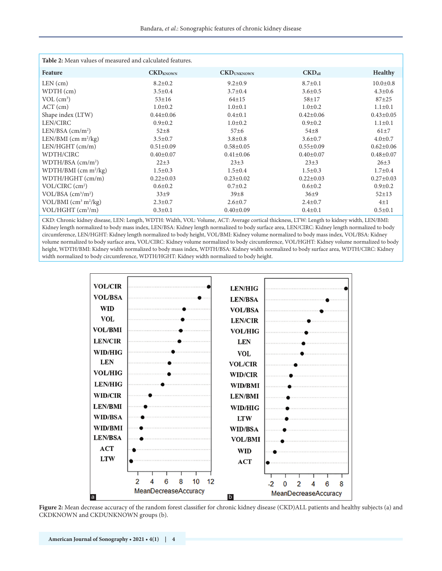| Table 2: Mean values of measured and calculated features. |                             |                    |                    |                 |  |  |
|-----------------------------------------------------------|-----------------------------|--------------------|--------------------|-----------------|--|--|
| Feature                                                   | $\text{CKD}_{\text{KNOWN}}$ | <b>CKD</b> UNKNOWN | $\text{CKD}_{all}$ | <b>Healthy</b>  |  |  |
| $LEN$ (cm)                                                | $8.2 \pm 0.2$               | $9.2 \pm 0.9$      | $8.7 \pm 0.1$      | $10.0 \pm 0.8$  |  |  |
| WDTH (cm)                                                 | $3.5 \pm 0.4$               | $3.7 \pm 0.4$      | $3.6 \pm 0.5$      | $4.3 \pm 0.6$   |  |  |
| $VOL$ (cm <sup>3</sup> )                                  | $53 + 16$                   | $64 \pm 15$        | $58 + 17$          | $87 + 25$       |  |  |
| $ACT$ (cm)                                                | $1.0 \pm 0.2$               | $1.0 \pm 0.1$      | $1.0 \pm 0.2$      | $1.1 \pm 0.1$   |  |  |
| Shape index (LTW)                                         | $0.44 \pm 0.06$             | $0.4 \pm 0.1$      | $0.42 \pm 0.06$    | $0.43 \pm 0.05$ |  |  |
| LEN/CIRC                                                  | $0.9 \pm 0.2$               | $1.0 \pm 0.2$      | $0.9 \pm 0.2$      | $1.1 \pm 0.1$   |  |  |
| LEN/BSA $\text{(cm/m}^2\text{)}$                          | $52+8$                      | 57 <sub>±6</sub>   | $54+8$             | $61+7$          |  |  |
| LEN/BMI $(cm m2/kg)$                                      | $3.5 \pm 0.7$               | $3.8 \pm 0.8$      | $3.6 \pm 0.7$      | $4.0 \pm 0.7$   |  |  |
| $LEN/HGHT$ (cm/m)                                         | $0.51 \pm 0.09$             | $0.58 \pm 0.05$    | $0.55 \pm 0.09$    | $0.62 \pm 0.06$ |  |  |
| WDTH/CIRC                                                 | $0.40 \pm 0.07$             | $0.41 \pm 0.06$    | $0.40 \pm 0.07$    | $0.48 + 0.07$   |  |  |
| $WDTH/BSA$ (cm/m <sup>2</sup> )                           | $22 + 3$                    | $23+3$             | $23\pm3$           | $26 + 3$        |  |  |
| $WDTH/BMI$ (cm m <sup>2</sup> /kg)                        | $1.5 \pm 0.3$               | $1.5 \pm 0.4$      | $1.5 \pm 0.3$      | $1.7 \pm 0.4$   |  |  |
| WDTH/HGHT (cm/m)                                          | $0.22 \pm 0.03$             | $0.23 \pm 0.02$    | $0.22 \pm 0.03$    | $0.27 \pm 0.03$ |  |  |
| VOL/CIRC (cm <sup>2</sup> )                               | $0.6 \pm 0.2$               | $0.7 \pm 0.2$      | $0.6 \pm 0.2$      | $0.9 \pm 0.2$   |  |  |
| $VOL/BSA$ (cm <sup>3</sup> /m <sup>2</sup> )              | $33\pm9$                    | $39\pm8$           | $36\pm9$           | $52 + 13$       |  |  |
| VOL/BMI $(cm3 m2/kg)$                                     | $2.3 \pm 0.7$               | $2.6 \pm 0.7$      | $2.4 \pm 0.7$      | $4\pm1$         |  |  |
| VOL/HGHT (cm <sup>3</sup> /m)                             | $0.3 \pm 0.1$               | $0.40 \pm 0.09$    | $0.4 \pm 0.1$      | $0.5 \pm 0.1$   |  |  |

CKD: Chronic kidney disease, LEN: Length, WDTH: Width, VOL: Volume, ACT: Average cortical thickness, LTW: Length to kidney width, LEN/BMI: Kidney length normalized to body mass index, LEN/BSA: Kidney length normalized to body surface area, LEN/CIRC: Kidney length normalized to body circumference, LEN/HGHT: Kidney length normalized to body height, VOL/BMI: Kidney volume normalized to body mass index, VOL/BSA: Kidney volume normalized to body surface area, VOL/CIRC: Kidney volume normalized to body circumference, VOL/HGHT: Kidney volume normalized to body height, WDTH/BMI: Kidney width normalized to body mass index, WDTH/BSA: Kidney width normalized to body surface area, WDTH/CIRC: Kidney width normalized to body circumference, WDTH/HGHT: Kidney width normalized to body height.



**Figure 2:** Mean decrease accuracy of the random forest classifier for chronic kidney disease (CKD)ALL patients and healthy subjects (a) and CKDKNOWN and CKDUNKNOWN groups (b).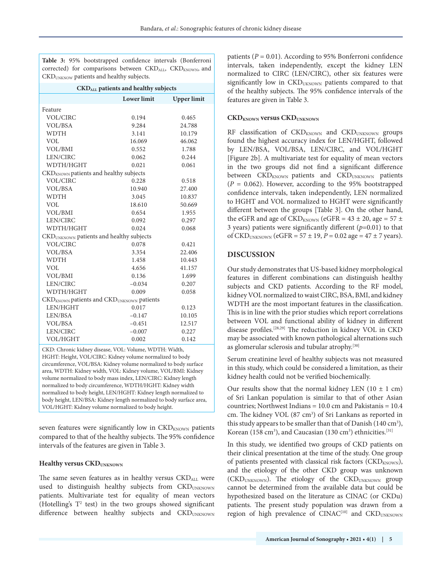**Table 3:** 95% bootstrapped confidence intervals (Bonferroni corrected) for comparisons between  $\text{CKD}_{\text{ALL}}$ ,  $\text{CKD}_{\text{KNOWN}}$ , and CKDUNKNOW patients and healthy subjects.

#### **CKDALL patients and healthy subjects**

|                                                                   | <b>Lower</b> limit | <b>Upper</b> limit |  |  |  |
|-------------------------------------------------------------------|--------------------|--------------------|--|--|--|
| Feature                                                           |                    |                    |  |  |  |
| VOL/CIRC                                                          | 0.194              | 0.465              |  |  |  |
| <b>VOL/BSA</b>                                                    | 9.284              | 24.788             |  |  |  |
| <b>WDTH</b>                                                       | 3.141              | 10.179             |  |  |  |
| VOL                                                               | 16.069             | 46.062             |  |  |  |
| <b>VOL/BMI</b>                                                    | 0.552              | 1.788              |  |  |  |
| LEN/CIRC                                                          | 0.062              | 0.244              |  |  |  |
| WDTH/HGHT                                                         | 0.021              | 0.061              |  |  |  |
| CKD <sub>KNOWN</sub> patients and healthy subjects                |                    |                    |  |  |  |
| <b>VOL/CIRC</b>                                                   | 0.228              | 0.518              |  |  |  |
| VOL/BSA                                                           | 10.940             | 27.400             |  |  |  |
| <b>WDTH</b>                                                       | 3.045              | 10.837             |  |  |  |
| VOL                                                               | 18.610             | 50.669             |  |  |  |
| VOL/BMI                                                           | 0.654              | 1.955              |  |  |  |
| LEN/CIRC                                                          | 0.092              | 0.297              |  |  |  |
| WDTH/HGHT                                                         | 0.024              | 0.068              |  |  |  |
| CKD <sub>UNKNOWN</sub> patients and healthy subjects              |                    |                    |  |  |  |
| <b>VOL/CIRC</b>                                                   | 0.078              | 0.421              |  |  |  |
| <b>VOL/BSA</b>                                                    | 3.354              | 22.406             |  |  |  |
| <b>WDTH</b>                                                       | 1.458              | 10.443             |  |  |  |
| <b>VOL</b>                                                        | 4.656              | 41.157             |  |  |  |
| VOL/BMI                                                           | 0.136              | 1.699              |  |  |  |
| LEN/CIRC                                                          | $-0.034$           | 0.207              |  |  |  |
| WDTH/HGHT                                                         | 0.009              | 0.058              |  |  |  |
| CKD <sub>KNOWN</sub> patients and CKD <sub>UNKNOWN</sub> patients |                    |                    |  |  |  |
| LEN/HGHT                                                          | 0.017              | 0.123              |  |  |  |
| LEN/BSA                                                           | $-0.147$           | 10.105             |  |  |  |
| <b>VOL/BSA</b>                                                    | $-0.451$           | 12.517             |  |  |  |
| LEN/CIRC                                                          | $-0.007$           | 0.227              |  |  |  |
| <b>VOL/HGHT</b>                                                   | 0.002              | 0.142              |  |  |  |

CKD: Chronic kidney disease, VOL: Volume, WDTH: Width, HGHT: Height, VOL/CIRC: Kidney volume normalized to body circumference, VOL/BSA: Kidney volume normalized to body surface area, WDTH: Kidney width, VOL: Kidney volume, VOL/BMI: Kidney volume normalized to body mass index, LEN/CIRC: Kidney length normalized to body circumference, WDTH/HGHT: Kidney width normalized to body height, LEN/HGHT: Kidney length normalized to body height, LEN/BSA: Kidney length normalized to body surface area, VOL/HGHT: Kidney volume normalized to body height.

seven features were significantly low in  $\text{CKD}_{\text{KNOWN}}$  patients compared to that of the healthy subjects. The 95% confidence intervals of the features are given in Table 3.

#### **Healthy versus CKDUNKNOWN**

The same seven features as in healthy versus CKDALL were used to distinguish healthy subjects from CKDUNKNOWN patients. Multivariate test for equality of mean vectors (Hotelling's  $T^2$  test) in the two groups showed significant difference between healthy subjects and CKDUNKNOWN

patients (*P* = 0.01). According to 95% Bonferroni confidence intervals, taken independently, except the kidney LEN normalized to CIRC (LEN/CIRC), other six features were significantly low in CKD<sub>UKNOWN</sub> patients compared to that of the healthy subjects. The 95% confidence intervals of the features are given in Table 3.

#### **CKD<sub>KNOWN</sub> versus CKD<sub>UNKNOWN</sub>**

 $RF$  classification of  $CKD_{KNOWN}$  and  $CKD_{UNKNOWN}$  groups found the highest accuracy index for LEN/HGHT, followed by LEN/BSA, VOL/BSA, LEN/CIRC, and VOL/HGHT [Figure 2b]. A multivariate test for equality of mean vectors in the two groups did not find a significant difference between CKD<sub>KNOWN</sub> patients and CKD<sub>UNKNOWN</sub> patients  $(P = 0.062)$ . However, according to the 95% bootstrapped confidence intervals, taken independently, LEN normalized to HGHT and VOL normalized to HGHT were significantly different between the groups [Table 3]. On the other hand, the eGFR and age of CKD<sub>KNOWN</sub> (eGFR =  $43 \pm 20$ , age =  $57 \pm$ 3 years) patients were significantly different (*p*=0.01) to that of CKD<sub>UNKNOWN</sub> (eGFR = 57  $\pm$  19, *P* = 0.02 age = 47  $\pm$  7 years).

# **DISCUSSION**

Our study demonstrates that US-based kidney morphological features in different combinations can distinguish healthy subjects and CKD patients. According to the RF model, kidney VOL normalized to waist CIRC, BSA, BMI, and kidney WDTH are the most important features in the classification. This is in line with the prior studies which report correlations between VOL and functional ability of kidney in different disease profiles.[28,29] The reduction in kidney VOL in CKD may be associated with known pathological alternations such as glomerular sclerosis and tubular atrophy.[30]

Serum creatinine level of healthy subjects was not measured in this study, which could be considered a limitation, as their kidney health could not be verified biochemically.

Our results show that the normal kidney LEN ( $10 \pm 1$  cm) of Sri Lankan population is similar to that of other Asian countries; Northwest Indians = 10.0 cm and Pakistanis = 10.4 cm. The kidney VOL (87 cm<sup>3</sup>) of Sri Lankans as reported in this study appears to be smaller than that of Danish  $(140 \text{ cm}^3)$ , Korean (158 cm<sup>3</sup>), and Caucasian (130 cm<sup>3</sup>) ethnicities.<sup>[31]</sup>

In this study, we identified two groups of CKD patients on their clinical presentation at the time of the study. One group of patients presented with classical risk factors (CKD<sub>KNOWN</sub>), and the etiology of the other CKD group was unknown (CKD<sub>UNKNOWN</sub>). The etiology of the CKD<sub>UNKNOWN</sub> group cannot be determined from the available data but could be hypothesized based on the literature as CINAC (or CKDu) patients. The present study population was drawn from a region of high prevalence of CINAC<sup>[10]</sup> and CKD<sub>UNKNOWN</sub>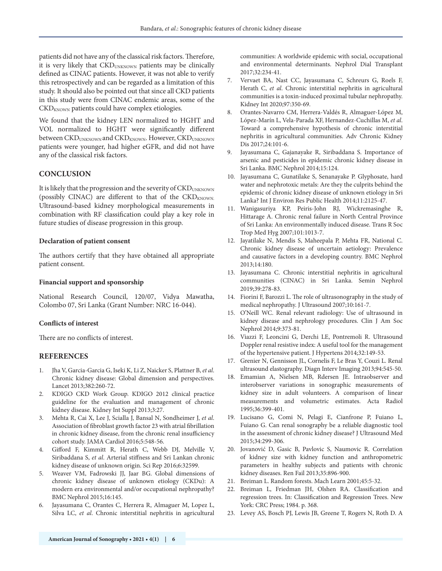patients did not have any of the classical risk factors. Therefore, it is very likely that CKD<sub>UNKNOWN</sub> patients may be clinically defined as CINAC patients. However, it was not able to verify this retrospectively and can be regarded as a limitation of this study. It should also be pointed out that since all CKD patients in this study were from CINAC endemic areas, some of the  $\text{CKD}_{\text{KNOWN}}$  patients could have complex etiologies.

We found that the kidney LEN normalized to HGHT and VOL normalized to HGHT were significantly different between CKD<sub>UNKNOWN</sub> and CKD<sub>KNOWN</sub>. However, CKD<sub>UNKNOWN</sub> patients were younger, had higher eGFR, and did not have any of the classical risk factors.

# **CONCLUSION**

It is likely that the progression and the severity of CKD<sub>UNKNOWN</sub> (possibly CINAC) are different to that of the  $CKD_{KNOWN.}$ Ultrasound-based kidney morphological measurements in combination with RF classification could play a key role in future studies of disease progression in this group.

#### **Declaration of patient consent**

The authors certify that they have obtained all appropriate patient consent.

#### **Financial support and sponsorship**

National Research Council, 120/07, Vidya Mawatha, Colombo 07, Sri Lanka (Grant Number: NRC 16-044).

## **Conflicts of interest**

There are no conflicts of interest.

## **REFERENCES**

- 1. Jha V, Garcia-Garcia G, Iseki K, Li Z, Naicker S, Plattner B, *et al*. Chronic kidney disease: Global dimension and perspectives. Lancet 2013;382:260-72.
- 2. KDIGO CKD Work Group. KDIGO 2012 clinical practice guideline for the evaluation and management of chronic kidney disease. Kidney Int Suppl 2013;3:27.
- 3. Mehta R, Cai X, Lee J, Scialla J, Bansal N, Sondheimer J, *et al*. Association of fibroblast growth factor 23 with atrial fibrillation in chronic kidney disease, from the chronic renal insufficiency cohort study. JAMA Cardiol 2016;5:548-56.
- 4. Gifford F, Kimmitt R, Herath C, Webb DJ, Melville V, Siribaddana S, *et al*. Arterial stiffness and Sri Lankan chronic kidney disease of unknown origin. Sci Rep 2016;6:32599.
- 5. Weaver VM, Fadrowski JJ, Jaar BG. Global dimensions of chronic kidney disease of unknown etiology (CKDu): A modern era environmental and/or occupational nephropathy? BMC Nephrol 2015;16:145.
- 6. Jayasumana C, Orantes C, Herrera R, Almaguer M, Lopez L, Silva LC, *et al*. Chronic interstitial nephritis in agricultural

communities: A worldwide epidemic with social, occupational and environmental determinants. Nephrol Dial Transplant 2017;32:234-41.

- 7. Vervaet BA, Nast CC, Jayasumana C, Schreurs G, Roels F, Herath C, *et al*. Chronic interstitial nephritis in agricultural communities is a toxin-induced proximal tubular nephropathy. Kidney Int 2020;97:350-69.
- 8. Orantes-Navarro CM, Herrera-Valdés R, Almaguer-López M, López-Marín L, Vela-Parada XF, Hernandez-Cuchillas M, *et al*. Toward a comprehensive hypothesis of chronic interstitial nephritis in agricultural communities. Adv Chronic Kidney Dis 2017;24:101-6.
- 9. Jayasumana C, Gajanayake R, Siribaddana S. Importance of arsenic and pesticides in epidemic chronic kidney disease in Sri Lanka. BMC Nephrol 2014;15:124.
- 10. Jayasumana C, Gunatilake S, Senanayake P. Glyphosate, hard water and nephrotoxic metals: Are they the culprits behind the epidemic of chronic kidney disease of unknown etiology in Sri Lanka? Int J Environ Res Public Health 2014;11:2125-47.
- 11. Wanigasuriya KP, Peiris-John RJ, Wickremasinghe R, Hittarage A. Chronic renal failure in North Central Province of Sri Lanka: An environmentally induced disease. Trans R Soc Trop Med Hyg 2007;101:1013-7.
- 12. Jayatilake N, Mendis S, Maheepala P, Mehta FR, National C. Chronic kidney disease of uncertain aetiology: Prevalence and causative factors in a developing country. BMC Nephrol 2013;14:180.
- 13. Jayasumana C. Chronic interstitial nephritis in agricultural communities (CINAC) in Sri Lanka. Semin Nephrol 2019;39:278-83.
- 14. Fiorini F, Barozzi L. The role of ultrasonography in the study of medical nephropathy. J Ultrasound 2007;10:161-7.
- 15. O'Neill WC. Renal relevant radiology: Use of ultrasound in kidney disease and nephrology procedures. Clin J Am Soc Nephrol 2014;9:373-81.
- 16. Viazzi F, Leoncini G, Derchi LE, Pontremoli R. Ultrasound Doppler renal resistive index: A useful tool for the management of the hypertensive patient. J Hypertens 2014;32:149-53.
- 17. Grenier N, Gennisson JL, Cornelis F, Le Bras Y, Couzi L. Renal ultrasound elastography. Diagn Interv Imaging 2013;94:545-50.
- 18. Emamian A, Nielsen MB, Rdersen JE. Intraobserver and interobserver variations in sonographic measurements of kidney size in adult volunteers. A comparison of linear measurements and volumetric estimates. Acta Radiol 1995;36:399-401.
- 19. Lucisano G, Comi N, Pelagi E, Cianfrone P, Fuiano L, Fuiano G. Can renal sonography be a reliable diagnostic tool in the assessment of chronic kidney disease? J Ultrasound Med 2015;34:299-306.
- 20. Jovanović D, Gasic B, Pavlovic S, Naumovic R. Correlation of kidney size with kidney function and anthropometric parameters in healthy subjects and patients with chronic kidney diseases. Ren Fail 2013;35:896-900.
- 21. Breiman L. Random forests. Mach Learn 2001;45:5-32.
- 22. Breiman L, Friedman JH, Olshen RA. Classification and regression trees. In: Classification and Regression Trees. New York: CRC Press; 1984. p. 368.
- 23. Levey AS, Bosch PJ, Lewis JB, Greene T, Rogers N, Roth D. A